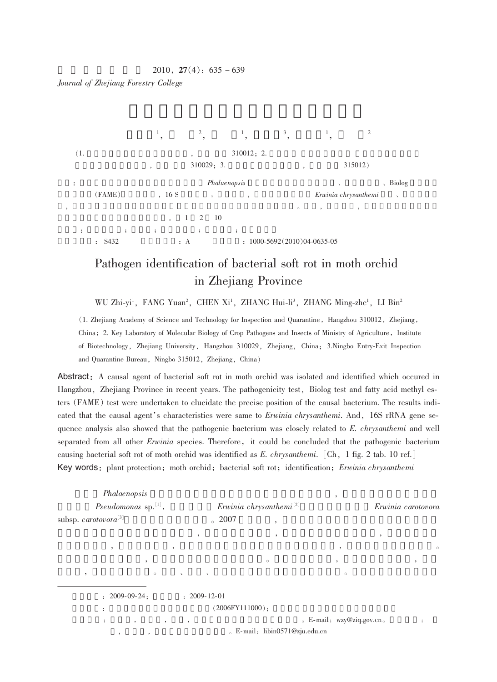## $2010, 27(4); 635 - 639$

Journal of Zhejiang Forestry College



## Pathogen identification of bacterial soft rot in moth orchid in Zhejiang Province

WU Zhi-yi<sup>1</sup>, FANG Yuan<sup>2</sup>, CHEN Xi<sup>1</sup>, ZHANG Hui-li<sup>3</sup>, ZHANG Ming-zhe<sup>1</sup>, LI Bin<sup>2</sup>

(1. Zhejiang Academy of Science and Technology for Inspection and Quarantine, Hangzhou 310012, Zhejiang, China; 2. Key Laboratory of Molecular Biology of Crop Pathogens and Insects of Ministry of Agriculture, Institute of Biotechnology, Zhejiang University, Hangzhou 310029, Zhejiang, China; 3.Ningbo Entry-Exit Inspection and Quarantine Bureau, Ningbo 315012, Zhejiang, China)

Abstract: A causal agent of bacterial soft rot in moth orchid was isolated and identified which occured in Hangzhou, Zhejiang Province in recent years. The pathogenicity test, Biolog test and fatty acid methyl esters (FAME) test were undertaken to elucidate the precise position of the causal bacterium. The results indicated that the causal agent's characteristics were same to Erwinia chrysanthemi. And, 16S rRNA gene sequence analysis also showed that the pathogenic bacterium was closely related to E. chrysanthemi and well separated from all other *Erwinia* species. Therefore, it could be concluded that the pathogenic bacterium causing bacterial soft rot of moth orchid was identified as E. chrysanthemi. [Ch, 1 fig. 2 tab. 10 ref.] Key words: plant protection; moth orchid; bacterial soft rot; identification; Erwinia chrysanthemi

| Phalaenopsis<br>Pseudomonas sp. $[1]$ ,<br>subsp. carotovora <sup>[3]</sup> | $\degree$ 2007                            | Erwinia chrysanthemi <sup>[2]</sup><br>$\overline{\phantom{a}}$ | $\cdot$                            | Erwinia carotovora |
|-----------------------------------------------------------------------------|-------------------------------------------|-----------------------------------------------------------------|------------------------------------|--------------------|
|                                                                             | $\cdot$                                   | $\overline{\phantom{a}}$                                        |                                    | $\cdot$            |
| $\cdot$                                                                     | $\cdot$                                   |                                                                 | $\cdot$                            | $\circ$            |
| $\cdot$                                                                     |                                           | $\circ$                                                         | $\cdot$                            | $\cdot$            |
| $\circ$<br>$\cdot$                                                          | $\sim$ $\sim$<br><b>Contract Contract</b> |                                                                 | $\circ$                            |                    |
| $: 2009 - 09 - 24:$<br>$\ddot{\cdot}$                                       | $: 2009 - 12 - 01$                        | $(2006$ FY111000 $);$                                           |                                    |                    |
| $\ddot{\phantom{a}}$<br>$\cdot$<br>$\cdot$<br>$\,$<br>$\cdot$               | $\cdot$                                   | . E-mail: libin0571@zju.edu.cn                                  | $\epsilon$ E-mail: wzy@ziq.gov.cn. | $\ddot{\cdot}$     |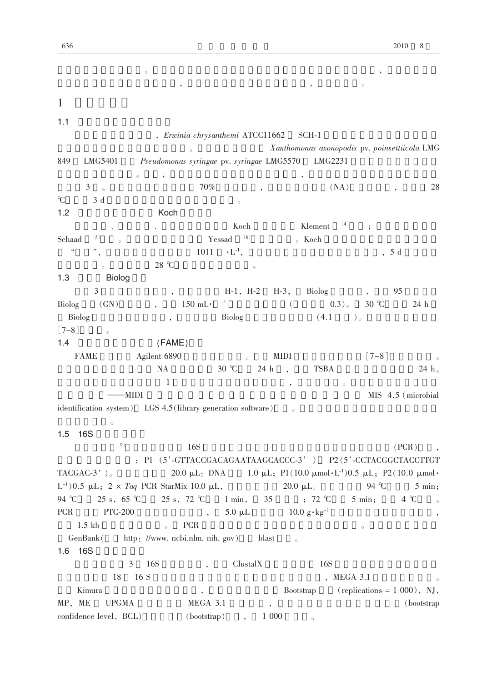|                                                              | $\circ$                                   |                                  |                                         |                                                                          |
|--------------------------------------------------------------|-------------------------------------------|----------------------------------|-----------------------------------------|--------------------------------------------------------------------------|
|                                                              |                                           |                                  | $^\circ$                                | $\circ$                                                                  |
| $\mathbf{1}$                                                 |                                           |                                  |                                         |                                                                          |
|                                                              |                                           |                                  |                                         |                                                                          |
| 1.1                                                          |                                           |                                  |                                         |                                                                          |
|                                                              |                                           | , Erwinia chrysanthemi ATCC11662 | SCH-1                                   |                                                                          |
|                                                              | $\circ$                                   |                                  |                                         | Xanthomonas axonopodis pv. poinsettiicola LMG                            |
| LMG5401<br>849                                               | Pseudomonas syringae pv. syringae LMG5570 |                                  | LMG2231                                 |                                                                          |
| $\circ$<br>$\mathfrak{Z}$                                    | $\overline{\phantom{a}}$<br>70%           |                                  |                                         | 28                                                                       |
| $\circ$<br>C<br>3d                                           |                                           |                                  | (NA)                                    |                                                                          |
| 1.2                                                          | Koch                                      | $\circ$                          |                                         |                                                                          |
|                                                              |                                           | Koch                             | $[4]$<br>Klement                        |                                                                          |
| $\begin{bmatrix} 5 \end{bmatrix}$<br>Schaad                  | $\epsilon$                                | $[6]$<br>Yessad                  | $\delta$ Koch                           | $\ddot{\phantom{0}},$                                                    |
| $\zeta\,\zeta$                                               | 1011                                      | $\cdot L^{-1},$                  |                                         | 5 d                                                                      |
|                                                              | $28 \text{ }^{\circ}C$                    |                                  |                                         | $\overline{\phantom{a}}$                                                 |
| $\circ$<br>1.3<br><b>Biolog</b>                              |                                           | $\circ$                          |                                         |                                                                          |
| 3                                                            |                                           | $H-1$ , $H-2$                    | $H-3$ ,<br>Biolog                       | 95                                                                       |
| <b>Biolog</b><br>(GN)                                        | $150$ mL $\cdot$                          | $-1$                             | 0.3)<br>$\left($                        | $30^\circ \text{C}$<br>24 h                                              |
| Biolog                                                       |                                           | <b>Biolog</b>                    | (4.1)                                   | ) $\circ$                                                                |
| $[7-8]$<br>$\circ$                                           | $\overline{\phantom{a}}$                  |                                  |                                         |                                                                          |
| 1.4                                                          | (FAME)                                    |                                  |                                         |                                                                          |
| <b>FAME</b>                                                  | Agilent 6890                              | $\circ$                          | <b>MIDI</b>                             | $[7-8]$                                                                  |
|                                                              | $\rm NA$                                  | 30 °C<br>24 h                    | <b>TSBA</b><br>$\overline{\phantom{a}}$ | $24~\mathrm{h}$ $_\circ$                                                 |
|                                                              | 1                                         |                                  | $\circ$<br>$\,$                         |                                                                          |
| -MIDI                                                        |                                           |                                  |                                         | MIS 4.5 (microbial                                                       |
| identification system) LGS 4.5 (library generation software) |                                           |                                  |                                         |                                                                          |
| $\circ$                                                      |                                           |                                  |                                         |                                                                          |
| 1.5<br>16S                                                   |                                           |                                  |                                         |                                                                          |
| $[9]$                                                        | 16S                                       |                                  |                                         | (PCR)                                                                    |
|                                                              |                                           |                                  |                                         | : P1 (5'-GTTACCGACAGAATAAGCACCC-3') P2 (5'-CCTACGGCTACCTTGT              |
| TACGAC-3' $)_{\circ}$                                        |                                           |                                  |                                         | 20.0 µL: DNA 1.0 µL; P1(10.0 µmol·L <sup>-1</sup> )0.5 µL; P2(10.0 µmol· |
| L <sup>-1</sup> )0.5 µL; 2 × Taq PCR StarMix 10.0 µL,        |                                           |                                  | 20.0 $\mu L_{\circ}$                    | 94 °C<br>5 min;                                                          |
| $25 s, 65 \text{ }^{\circ}\text{C}$<br>94 $^{\circ}$ C       | $25 s, 72 \text{ }^{\circ}\text{C}$       | $1 \text{ min}$ ,<br>35          | $, 72 \text{ }^{\circ}\text{C}$         | $5 \text{ min}$ ;<br>$4^{\circ}C$<br>$\circ$                             |
| <b>PTC-200</b><br><b>PCR</b>                                 |                                           | $5.0 \mu L$                      | $10.0 \text{ g} \cdot \text{kg}^{-1}$   |                                                                          |
| $1.5$ kb                                                     | PCR<br>$\circ$                            |                                  |                                         | $\circ$                                                                  |
| GenBank(                                                     | http://www.ncbi.nlm.nih.gov) blast        |                                  | $\circ$                                 |                                                                          |
| 1.6 16S                                                      |                                           |                                  |                                         |                                                                          |
| 3                                                            | 16S                                       | ClustalX                         | 16S                                     |                                                                          |
| 18                                                           | 16S                                       |                                  |                                         | , MEGA 3.1<br>$\circ$                                                    |
| Kimura                                                       | $^\mathrm{o}$                             |                                  | Bootstrap                               | $(replications = 1000)$ , NJ,                                            |
| MP, ME<br>$\ensuremath{\mathsf{UPGMA}}$                      | MEGA 3.1                                  |                                  |                                         | (bootstrap)                                                              |

confidence level,  $BCL$ ) (bootstrap), 1 000  $\circ$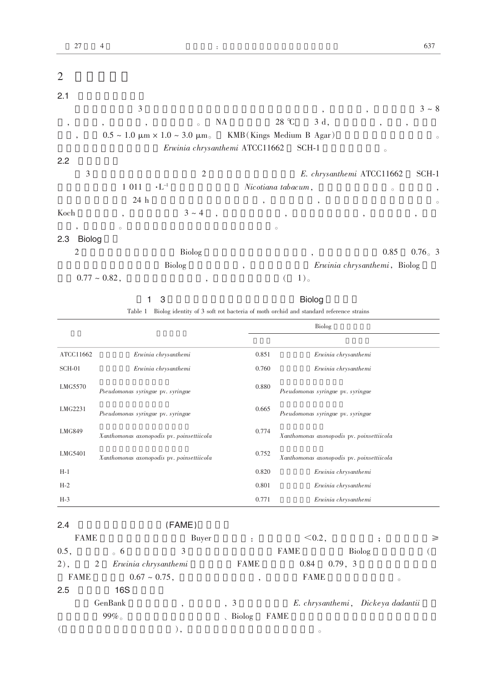| 2                        |                           |                                                        |                          |                           |                          |                              |                          |
|--------------------------|---------------------------|--------------------------------------------------------|--------------------------|---------------------------|--------------------------|------------------------------|--------------------------|
| 2.1                      |                           |                                                        |                          |                           |                          |                              |                          |
|                          | 3                         |                                                        |                          |                           |                          | ,                            | $3 \sim 8$               |
| $\cdot$                  | $\overline{ }$<br>$\cdot$ | $\circ$                                                | NA                       | 28 °C                     | 3 d,                     | $\overline{ }$<br>,          |                          |
| $\overline{\phantom{a}}$ |                           | $0.5 \sim 1.0 \mu m \times 1.0 \sim 3.0 \mu m_{\circ}$ |                          | KMB (Kings Medium B Agar) |                          |                              | $\circ$                  |
|                          |                           | Erwinia chrysanthemi ATCC11662                         |                          |                           | SCH-1                    | $\circ$                      |                          |
| 2.2                      |                           |                                                        |                          |                           |                          |                              |                          |
| 3                        |                           | $\overline{2}$                                         |                          |                           |                          | E. chrysanthemi ATCC11662    | $SCH-1$                  |
|                          | 1 0 1 1                   | $\cdot L^{-1}$                                         |                          | Nicotiana tabacum,        |                          | $\circ$                      | $^\mathrm{^{^\circ}}$    |
|                          | 24 h                      |                                                        |                          | $\overline{\phantom{a}}$  | $\overline{\phantom{a}}$ |                              | $\circ$                  |
| Koch                     | $\overline{\phantom{a}}$  | $3 \sim 4$                                             |                          | $\overline{\phantom{a}}$  |                          | $\,$                         | $\overline{\phantom{a}}$ |
| $\cdot$                  | $\circ$                   |                                                        |                          | $\circ$                   |                          |                              |                          |
| 2.3<br><b>Biolog</b>     |                           |                                                        |                          |                           |                          |                              |                          |
| $\mathfrak{2}$           |                           | Biolog                                                 |                          |                           | $\overline{\phantom{a}}$ | 0.85                         | $0.76_{\circ}$ 3         |
|                          |                           | <b>Biolog</b>                                          | $\overline{\phantom{a}}$ |                           |                          | Erwinia chrysanthemi, Biolog |                          |
|                          | $0.77 \sim 0.82$ ,        | ,                                                      |                          |                           | 1)                       |                              |                          |

1 3 Biolog

Table 1 Biolog identity of 3 soft rot bacteria of moth orchid and standard reference strains

|               |                                           |       | Biolog                                    |
|---------------|-------------------------------------------|-------|-------------------------------------------|
|               |                                           |       |                                           |
| ATCC11662     | Erwinia chrysanthemi                      | 0.851 | Erwinia chrysanthemi                      |
| $SCH-01$      | Erwinia chrysanthemi                      | 0.760 | Erwinia chrysanthemi                      |
| LMG5570       | Pseudomonas syringae pv. syringae         | 0.880 | Pseudomonas syringae pv. syringae         |
| LMG2231       | Pseudomonas syringae pv. syringae         | 0.665 | Pseudomonas syringae pv. syringae         |
| <b>LMG849</b> | Xanthomonas axonopodis pv. poinsettiicola | 0.774 | Xanthomonas axonopodis pv. poinsettiicola |
| LMG5401       | Xanthomonas axonopodis pv. poinsettiicola | 0.752 | Xanthomonas axonopodis pv. poinsettiicola |
| $H-1$         |                                           | 0.820 | Erwinia chrysanthemi                      |
| $H-2$         |                                           | 0.801 | Erwinia chrysanthemi                      |
| $H-3$         |                                           | 0.771 | Erwinia chrysanthemi                      |

## 2.4 (FAME)

|             | <b>FAME</b> |                      | Buyer                    |     | $\ddot{\phantom{a}}$ |             | $< 0.2$ ,   |         |        |                                   | $\geq$ |
|-------------|-------------|----------------------|--------------------------|-----|----------------------|-------------|-------------|---------|--------|-----------------------------------|--------|
| 0.5,        | $\circ$ 6   |                      | 3                        |     |                      | <b>FAME</b> |             |         | Biolog |                                   |        |
| $2)$ ,      | 2           | Erwinia chrysanthemi |                          |     | <b>FAME</b>          |             | 0.84        | 0.79, 3 |        |                                   |        |
| <b>FAME</b> |             | $0.67 \sim 0.75$ ,   |                          |     | ٠                    |             | <b>FAME</b> |         |        | $\circ$                           |        |
| 2.5         |             | 16S                  |                          |     |                      |             |             |         |        |                                   |        |
|             | GenBank     |                      | $\overline{\phantom{a}}$ | , 3 |                      |             |             |         |        | E. chrysanthemi, Dickeya dadantii |        |
|             | $99\%$      |                      |                          |     | $\sim$ Biolog        | <b>FAME</b> |             |         |        |                                   |        |
|             |             |                      |                          |     |                      |             | $\circ$     |         |        |                                   |        |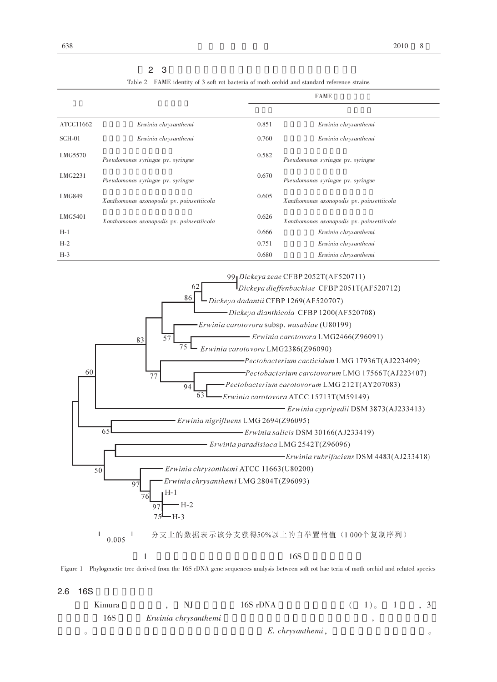| 2 <sub>3</sub> |
|----------------|
|----------------|

Table 2 FAME identity of 3 soft rot bacteria of moth orchid and standard reference strains

|               |                                           |       | <b>FAME</b>                               |
|---------------|-------------------------------------------|-------|-------------------------------------------|
|               |                                           |       |                                           |
| ATCC11662     | Erwinia chrysanthemi                      | 0.851 | Erwinia chrysanthemi                      |
| SCH-01        | Erwinia chrysanthemi                      | 0.760 | Erwinia chrysanthemi                      |
| LMG5570       | Pseudomonas syringae pv. syringae         | 0.582 | Pseudomonas syringae pv. syringae         |
| LMG2231       | Pseudomonas syringae pv. syringae         | 0.670 | Pseudomonas syringae pv. syringae         |
| <b>LMG849</b> | Xanthomonas axonopodis pv. poinsettiicola | 0.605 | Xanthomonas axonopodis pv. poinsettiicola |
| LMG5401       | Xanthomonas axonopodis pv. poinsettiicola | 0.626 | Xanthomonas axonopodis pv. poinsettiicola |
| $H-1$         |                                           | 0.666 | Erwinia chrysanthemi                      |
| $H-2$         |                                           | 0.751 | Erwinia chrysanthemi                      |
| $H-3$         |                                           | 0.680 | Erwinia chrysanthemi                      |



 $2.6$  16S

| Kimura | NI                   | 16S rDNA         | $(1)$ 1, 3 |  |
|--------|----------------------|------------------|------------|--|
| 16S    | Erwinia chrysanthemi |                  |            |  |
|        |                      | E. chrysanthemi, |            |  |